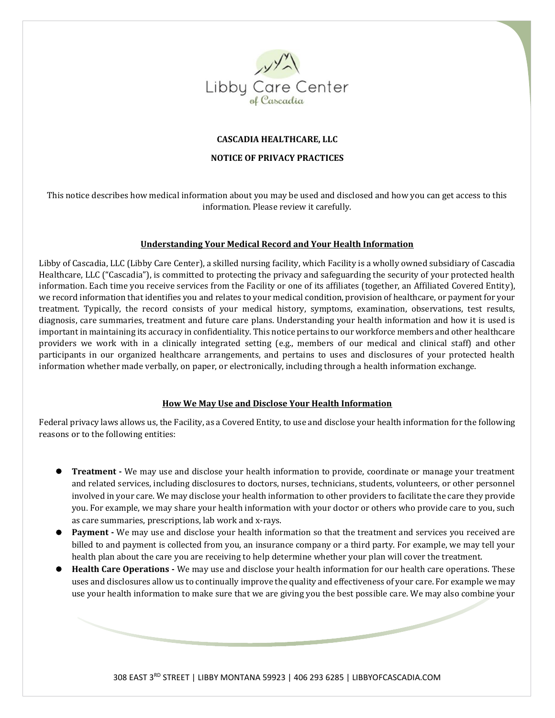

### **CASCADIA HEALTHCARE, LLC**

#### **NOTICE OF PRIVACY PRACTICES**

This notice describes how medical information about you may be used and disclosed and how you can get access to this information. Please review it carefully.

### **Understanding Your Medical Record and Your Health Information**

Libby of Cascadia, LLC (Libby Care Center), a skilled nursing facility, which Facility is a wholly owned subsidiary of Cascadia Healthcare, LLC ("Cascadia"), is committed to protecting the privacy and safeguarding the security of your protected health information. Each time you receive services from the Facility or one of its affiliates (together, an Affiliated Covered Entity), we record information that identifies you and relates to your medical condition, provision of healthcare, or payment for your treatment. Typically, the record consists of your medical history, symptoms, examination, observations, test results, diagnosis, care summaries, treatment and future care plans. Understanding your health information and how it is used is important in maintaining its accuracy in confidentiality. This notice pertains to our workforce members and other healthcare providers we work with in a clinically integrated setting (e.g., members of our medical and clinical staff) and other participants in our organized healthcare arrangements, and pertains to uses and disclosures of your protected health information whether made verbally, on paper, or electronically, including through a health information exchange.

#### **How We May Use and Disclose Your Health Information**

Federal privacy laws allows us, the Facility, as a Covered Entity, to use and disclose your health information for the following reasons or to the following entities:

- ⚫ **Treatment -** We may use and disclose your health information to provide, coordinate or manage your treatment and related services, including disclosures to doctors, nurses, technicians, students, volunteers, or other personnel involved in your care. We may disclose your health information to other providers to facilitate the care they provide you. For example, we may share your health information with your doctor or others who provide care to you, such as care summaries, prescriptions, lab work and x-rays.
- Payment We may use and disclose your health information so that the treatment and services you received are billed to and payment is collected from you, an insurance company or a third party. For example, we may tell your health plan about the care you are receiving to help determine whether your plan will cover the treatment.
- **Health Care Operations** We may use and disclose your health information for our health care operations. These uses and disclosures allow us to continually improve the quality and effectiveness of your care. For example we may use your health information to make sure that we are giving you the best possible care. We may also combine your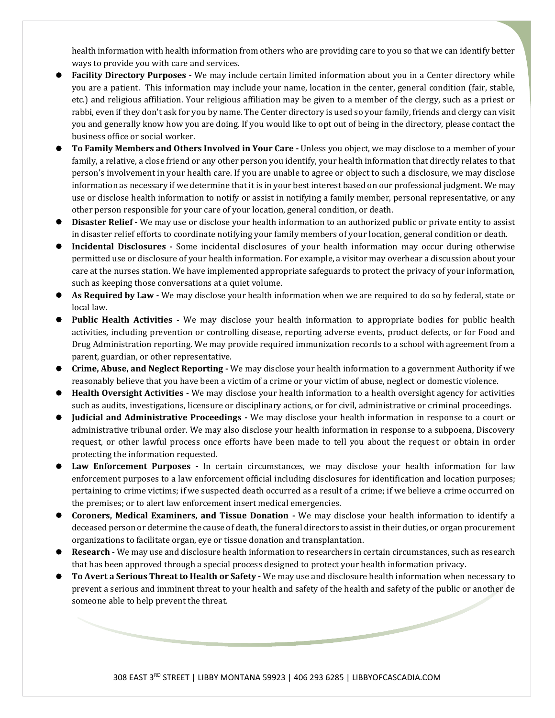health information with health information from others who are providing care to you so that we can identify better ways to provide you with care and services.

- ⚫ **Facility Directory Purposes -** We may include certain limited information about you in a Center directory while you are a patient. This information may include your name, location in the center, general condition (fair, stable, etc.) and religious affiliation. Your religious affiliation may be given to a member of the clergy, such as a priest or rabbi, even if they don't ask for you by name. The Center directory is used so your family, friends and clergy can visit you and generally know how you are doing. If you would like to opt out of being in the directory, please contact the business office or social worker.
- ⚫ **To Family Members and Others Involved in Your Care -** Unless you object, we may disclose to a member of your family, a relative, a close friend or any other person you identify, your health information that directly relates to that person's involvement in your health care. If you are unable to agree or object to such a disclosure, we may disclose information as necessary if we determine that it is in your best interest based on our professional judgment. We may use or disclose health information to notify or assist in notifying a family member, personal representative, or any other person responsible for your care of your location, general condition, or death.
- ⚫ **Disaster Relief -** We may use or disclose your health information to an authorized public or private entity to assist in disaster relief efforts to coordinate notifying your family members of your location, general condition or death.
- ⚫ **Incidental Disclosures -** Some incidental disclosures of your health information may occur during otherwise permitted use or disclosure of your health information. For example, a visitor may overhear a discussion about your care at the nurses station. We have implemented appropriate safeguards to protect the privacy of your information, such as keeping those conversations at a quiet volume.
- ⚫ **As Required by Law -** We may disclose your health information when we are required to do so by federal, state or local law.
- ⚫ **Public Health Activities -** We may disclose your health information to appropriate bodies for public health activities, including prevention or controlling disease, reporting adverse events, product defects, or for Food and Drug Administration reporting. We may provide required immunization records to a school with agreement from a parent, guardian, or other representative.
- ⚫ **Crime, Abuse, and Neglect Reporting -** We may disclose your health information to a government Authority if we reasonably believe that you have been a victim of a crime or your victim of abuse, neglect or domestic violence.
- ⚫ **Health Oversight Activities -** We may disclose your health information to a health oversight agency for activities such as audits, investigations, licensure or disciplinary actions, or for civil, administrative or criminal proceedings.
- ⚫ **Judicial and Administrative Proceedings -** We may disclose your health information in response to a court or administrative tribunal order. We may also disclose your health information in response to a subpoena, Discovery request, or other lawful process once efforts have been made to tell you about the request or obtain in order protecting the information requested.
- Law Enforcement Purposes In certain circumstances, we may disclose your health information for law enforcement purposes to a law enforcement official including disclosures for identification and location purposes; pertaining to crime victims; if we suspected death occurred as a result of a crime; if we believe a crime occurred on the premises; or to alert law enforcement insert medical emergencies.
- ⚫ **Coroners, Medical Examiners, and Tissue Donation -** We may disclose your health information to identify a deceased person or determine the cause of death, the funeral directors to assist in their duties, or organ procurement organizations to facilitate organ, eye or tissue donation and transplantation.
- ⚫ **Research -** We may use and disclosure health information to researchers in certain circumstances, such as research that has been approved through a special process designed to protect your health information privacy.
- ⚫ **To Avert a Serious Threat to Health or Safety -** We may use and disclosure health information when necessary to prevent a serious and imminent threat to your health and safety of the health and safety of the public or another de someone able to help prevent the threat.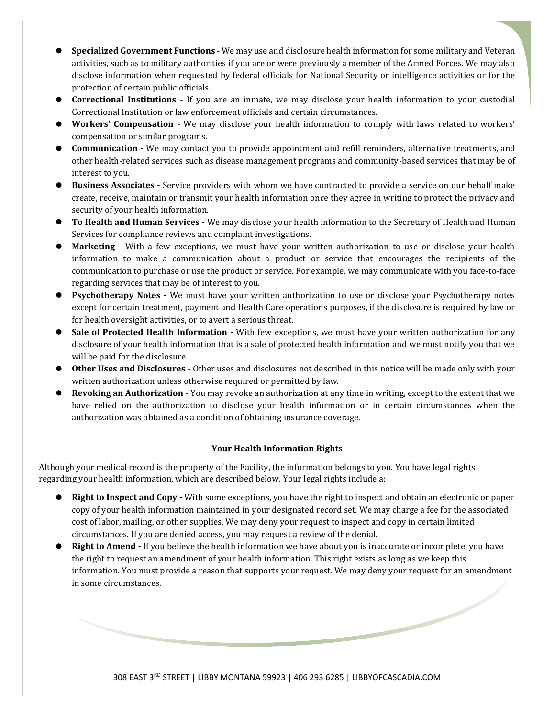- ⚫ **Specialized Government Functions -** We may use and disclosure health information for some military and Veteran activities, such as to military authorities if you are or were previously a member of the Armed Forces. We may also disclose information when requested by federal officials for National Security or intelligence activities or for the protection of certain public officials.
- ⚫ **Correctional Institutions -** If you are an inmate, we may disclose your health information to your custodial Correctional Institution or law enforcement officials and certain circumstances.
- ⚫ **Workers' Compensation -** We may disclose your health information to comply with laws related to workers' compensation or similar programs.
- ⚫ **Communication -** We may contact you to provide appointment and refill reminders, alternative treatments, and other health-related services such as disease management programs and community-based services that may be of interest to you.
- ⚫ **Business Associates -** Service providers with whom we have contracted to provide a service on our behalf make create, receive, maintain or transmit your health information once they agree in writing to protect the privacy and security of your health information.
- **To Health and Human Services** We may disclose your health information to the Secretary of Health and Human Services for compliance reviews and complaint investigations.
- ⚫ **Marketing -** With a few exceptions, we must have your written authorization to use or disclose your health information to make a communication about a product or service that encourages the recipients of the communication to purchase or use the product or service. For example, we may communicate with you face-to-face regarding services that may be of interest to you.
- **Perigmeral Psychotherapy Notes -** We must have your written authorization to use or disclose your Psychotherapy notes except for certain treatment, payment and Health Care operations purposes, if the disclosure is required by law or for health oversight activities, or to avert a serious threat.
- Sale of Protected Health Information With few exceptions, we must have your written authorization for any disclosure of your health information that is a sale of protected health information and we must notify you that we will be paid for the disclosure.
- ⚫ **Other Uses and Disclosures -** Other uses and disclosures not described in this notice will be made only with your written authorization unless otherwise required or permitted by law.
- ⚫ **Revoking an Authorization -** You may revoke an authorization at any time in writing, except to the extent that we have relied on the authorization to disclose your health information or in certain circumstances when the authorization was obtained as a condition of obtaining insurance coverage.

## **Your Health Information Rights**

Although your medical record is the property of the Facility, the information belongs to you. You have legal rights regarding your health information, which are described below. Your legal rights include a:

- ⚫ **Right to Inspect and Copy -** With some exceptions, you have the right to inspect and obtain an electronic or paper copy of your health information maintained in your designated record set. We may charge a fee for the associated cost of labor, mailing, or other supplies. We may deny your request to inspect and copy in certain limited circumstances. If you are denied access, you may request a review of the denial.
- **Right to Amend** If you believe the health information we have about you is inaccurate or incomplete, you have the right to request an amendment of your health information. This right exists as long as we keep this information. You must provide a reason that supports your request. We may deny your request for an amendment in some circumstances.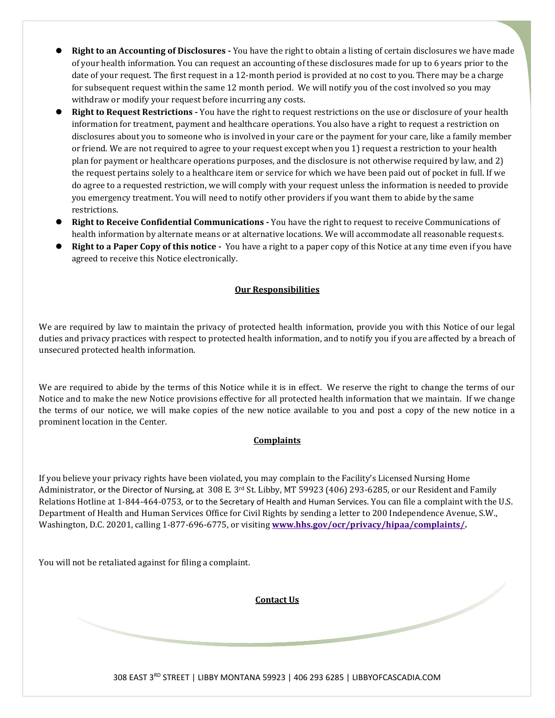- ⚫ **Right to an Accounting of Disclosures -** You have the right to obtain a listing of certain disclosures we have made of your health information. You can request an accounting of these disclosures made for up to 6 years prior to the date of your request. The first request in a 12-month period is provided at no cost to you. There may be a charge for subsequent request within the same 12 month period. We will notify you of the cost involved so you may withdraw or modify your request before incurring any costs.
- ⚫ **Right to Request Restrictions -** You have the right to request restrictions on the use or disclosure of your health information for treatment, payment and healthcare operations. You also have a right to request a restriction on disclosures about you to someone who is involved in your care or the payment for your care, like a family member or friend. We are not required to agree to your request except when you 1) request a restriction to your health plan for payment or healthcare operations purposes, and the disclosure is not otherwise required by law, and 2) the request pertains solely to a healthcare item or service for which we have been paid out of pocket in full. If we do agree to a requested restriction, we will comply with your request unless the information is needed to provide you emergency treatment. You will need to notify other providers if you want them to abide by the same restrictions.
- ⚫ **Right to Receive Confidential Communications -** You have the right to request to receive Communications of health information by alternate means or at alternative locations. We will accommodate all reasonable requests.
- **Right to a Paper Copy of this notice -** You have a right to a paper copy of this Notice at any time even if you have agreed to receive this Notice electronically.

## **Our Responsibilities**

We are required by law to maintain the privacy of protected health information, provide you with this Notice of our legal duties and privacy practices with respect to protected health information, and to notify you if you are affected by a breach of unsecured protected health information.

We are required to abide by the terms of this Notice while it is in effect. We reserve the right to change the terms of our Notice and to make the new Notice provisions effective for all protected health information that we maintain. If we change the terms of our notice, we will make copies of the new notice available to you and post a copy of the new notice in a prominent location in the Center.

# **Complaints**

If you believe your privacy rights have been violated, you may complain to the Facility's Licensed Nursing Home Administrator, or the Director of Nursing, at 308 E. 3rd St. Libby, MT 59923 (406) 293-6285, or our Resident and Family Relations Hotline at 1-844-464-0753, or to the Secretary of Health and Human Services. You can file a complaint with the U.S. Department of Health and Human Services Office for Civil Rights by sending a letter to 200 Independence Avenue, S.W., Washington, D.C. 20201, calling 1-877-696-6775, or visiting **[www.hhs.gov/ocr/privacy/hipaa/complaints/.](http://www.hhs.gov/ocr/privacy/hipaa/complaints/)**

You will not be retaliated against for filing a complaint.

**Contact Us**

308 EAST 3RD STREET | LIBBY MONTANA 59923 | 406 293 6285 | LIBBYOFCASCADIA.COM